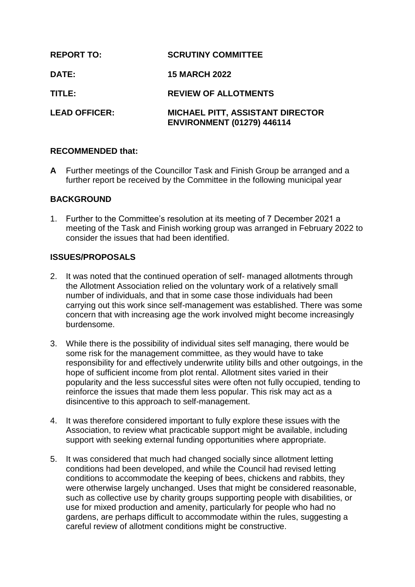| <b>REPORT TO:</b>    | <b>SCRUTINY COMMITTEE</b>                                                    |
|----------------------|------------------------------------------------------------------------------|
| DATE:                | <b>15 MARCH 2022</b>                                                         |
| TITLE:               | <b>REVIEW OF ALLOTMENTS</b>                                                  |
| <b>LEAD OFFICER:</b> | <b>MICHAEL PITT, ASSISTANT DIRECTOR</b><br><b>ENVIRONMENT (01279) 446114</b> |

### **RECOMMENDED that:**

**A** Further meetings of the Councillor Task and Finish Group be arranged and a further report be received by the Committee in the following municipal year

# **BACKGROUND**

1. Further to the Committee's resolution at its meeting of 7 December 2021 a meeting of the Task and Finish working group was arranged in February 2022 to consider the issues that had been identified.

## **ISSUES/PROPOSALS**

- 2. It was noted that the continued operation of self- managed allotments through the Allotment Association relied on the voluntary work of a relatively small number of individuals, and that in some case those individuals had been carrying out this work since self-management was established. There was some concern that with increasing age the work involved might become increasingly burdensome.
- 3. While there is the possibility of individual sites self managing, there would be some risk for the management committee, as they would have to take responsibility for and effectively underwrite utility bills and other outgoings, in the hope of sufficient income from plot rental. Allotment sites varied in their popularity and the less successful sites were often not fully occupied, tending to reinforce the issues that made them less popular. This risk may act as a disincentive to this approach to self-management.
- 4. It was therefore considered important to fully explore these issues with the Association, to review what practicable support might be available, including support with seeking external funding opportunities where appropriate.
- 5. It was considered that much had changed socially since allotment letting conditions had been developed, and while the Council had revised letting conditions to accommodate the keeping of bees, chickens and rabbits, they were otherwise largely unchanged. Uses that might be considered reasonable, such as collective use by charity groups supporting people with disabilities, or use for mixed production and amenity, particularly for people who had no gardens, are perhaps difficult to accommodate within the rules, suggesting a careful review of allotment conditions might be constructive.